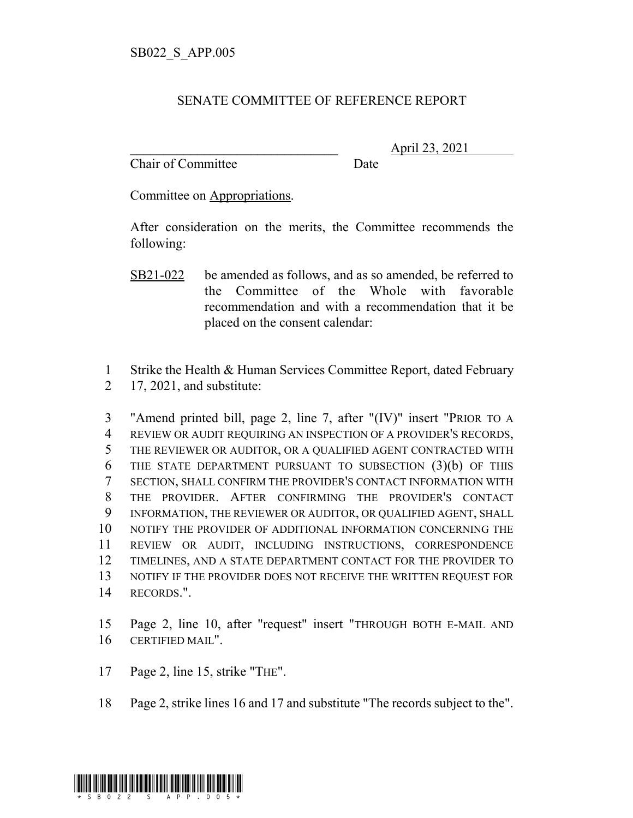## SENATE COMMITTEE OF REFERENCE REPORT

Chair of Committee Date

\_\_\_\_\_\_\_\_\_\_\_\_\_\_\_\_\_\_\_\_\_\_\_\_\_\_\_\_\_\_\_ April 23, 2021

Committee on Appropriations.

After consideration on the merits, the Committee recommends the following:

- SB21-022 be amended as follows, and as so amended, be referred to the Committee of the Whole with favorable recommendation and with a recommendation that it be placed on the consent calendar:
- 1 Strike the Health & Human Services Committee Report, dated February
- 2 17, 2021, and substitute:

 "Amend printed bill, page 2, line 7, after "(IV)" insert "PRIOR TO A REVIEW OR AUDIT REQUIRING AN INSPECTION OF A PROVIDER'S RECORDS, THE REVIEWER OR AUDITOR, OR A QUALIFIED AGENT CONTRACTED WITH THE STATE DEPARTMENT PURSUANT TO SUBSECTION (3)(b) OF THIS SECTION, SHALL CONFIRM THE PROVIDER'S CONTACT INFORMATION WITH THE PROVIDER. AFTER CONFIRMING THE PROVIDER'S CONTACT INFORMATION, THE REVIEWER OR AUDITOR, OR QUALIFIED AGENT, SHALL NOTIFY THE PROVIDER OF ADDITIONAL INFORMATION CONCERNING THE REVIEW OR AUDIT, INCLUDING INSTRUCTIONS, CORRESPONDENCE TIMELINES, AND A STATE DEPARTMENT CONTACT FOR THE PROVIDER TO 13 NOTIFY IF THE PROVIDER DOES NOT RECEIVE THE WRITTEN REQUEST FOR RECORDS.".

15 Page 2, line 10, after "request" insert "THROUGH BOTH E-MAIL AND 16 CERTIFIED MAIL".

- 17 Page 2, line 15, strike "THE".
- 18 Page 2, strike lines 16 and 17 and substitute "The records subject to the".